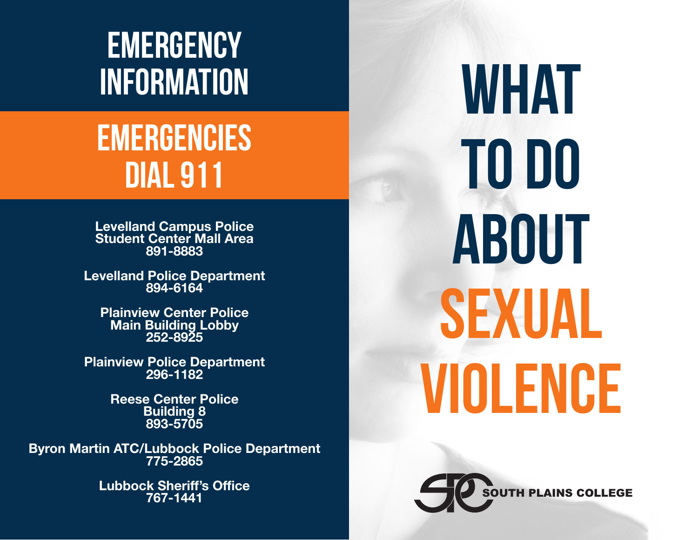# **EMERGENCY**

# EMERGENCIES DIAL 911

**Levelland Campus Police Student Center Mall Area 891-8883**

**Levelland Police Department 894-6164**

**Plainview Center Police Main Building Lobby 252-8925**

**Plainview Police Department 296-1182**

> **Reese Center Police Building 8 893-5705**

**Byron Martin ATC/Lubbock Police Department 775-2865**

> **Lubbock Sheriff's Office 767-1441**

INFORMATION WHAT WAS ARRESTED FOR MALLER THAN THE U.S. OF THE U.S. OF THE U.S. OF THE U.S. OF THE U.S. OF THE TO DO ABOUT SEXUAL VIOLENCE

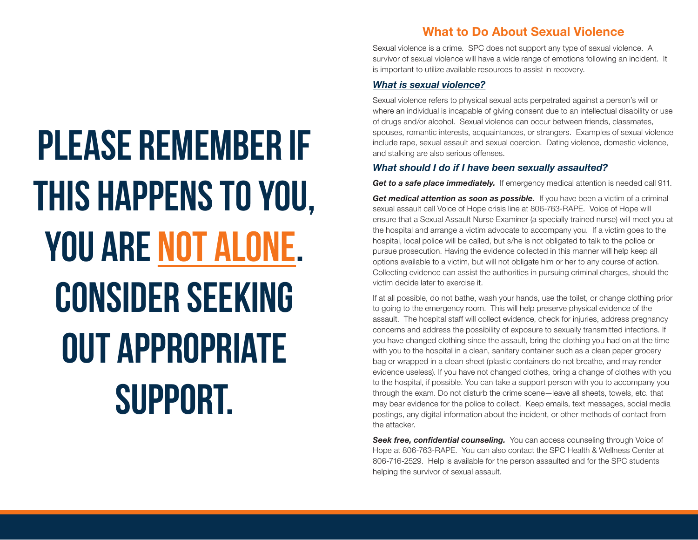PLEASE REMEMBER IF THIS HAPPENS TO YOU, YOU ARE NOT ALONE. CONSIDER SEEKING OUT APPROPRIATE SUPPORT.

# **What to Do About Sexual Violence**

Sexual violence is a crime. SPC does not support any type of sexual violence. A survivor of sexual violence will have a wide range of emotions following an incident. It is important to utilize available resources to assist in recovery.

#### *What is sexual violence?*

Sexual violence refers to physical sexual acts perpetrated against a person's will or where an individual is incapable of giving consent due to an intellectual disability or use of drugs and/or alcohol. Sexual violence can occur between friends, classmates, spouses, romantic interests, acquaintances, or strangers. Examples of sexual violence include rape, sexual assault and sexual coercion. Dating violence, domestic violence, and stalking are also serious offenses.

#### *What should I do if I have been sexually assaulted?*

**Get to a safe place immediately.** If emergency medical attention is needed call 911.

**Get medical attention as soon as possible.** If you have been a victim of a criminal sexual assault call Voice of Hope crisis line at 806-763-RAPE. Voice of Hope will ensure that a Sexual Assault Nurse Examiner (a specially trained nurse) will meet you at the hospital and arrange a victim advocate to accompany you. If a victim goes to the hospital, local police will be called, but s/he is not obligated to talk to the police or pursue prosecution. Having the evidence collected in this manner will help keep all options available to a victim, but will not obligate him or her to any course of action. Collecting evidence can assist the authorities in pursuing criminal charges, should the victim decide later to exercise it.

If at all possible, do not bathe, wash your hands, use the toilet, or change clothing prior to going to the emergency room. This will help preserve physical evidence of the assault. The hospital staff will collect evidence, check for injuries, address pregnancy concerns and address the possibility of exposure to sexually transmitted infections. If you have changed clothing since the assault, bring the clothing you had on at the time with you to the hospital in a clean, sanitary container such as a clean paper grocery bag or wrapped in a clean sheet (plastic containers do not breathe, and may render evidence useless). If you have not changed clothes, bring a change of clothes with you to the hospital, if possible. You can take a support person with you to accompany you through the exam. Do not disturb the crime scene—leave all sheets, towels, etc. that may bear evidence for the police to collect. Keep emails, text messages, social media postings, any digital information about the incident, or other methods of contact from the attacker.

**Seek free, confidential counseling.** You can access counseling through Voice of Hope at 806-763-RAPE. You can also contact the SPC Health & Wellness Center at 806-716-2529. Help is available for the person assaulted and for the SPC students helping the survivor of sexual assault.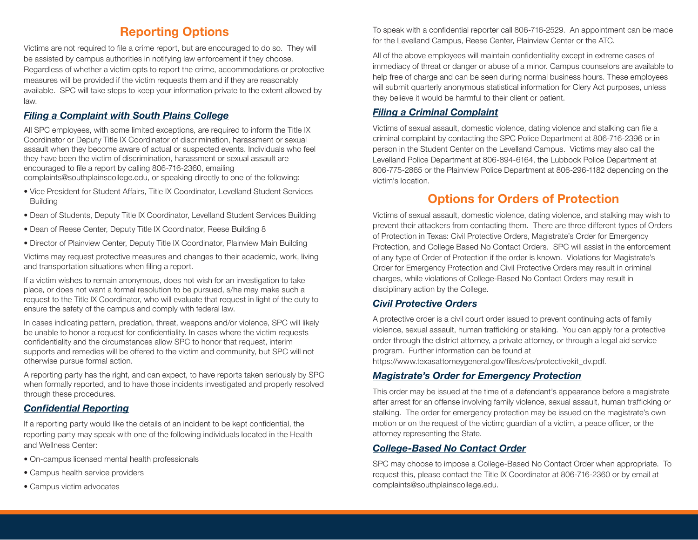# **Reporting Options Reporting Options**

Victims are not required to file a crime report, but are encouraged to do so. They will Victims are not required to file a crime report, but are encouraged to do so. They will be assisted by campus authorities in notifying law enforcement if they choose. be assisted by campus authorities in notifying law enforcement if they choose. Regardless of whether a victim opts to report the crime, accommodations or protective Regardless of whether a victim opts to report the crime, accommodations or protective measures will be provided if the victim requests them and if they are reasonably measures will be provided if the victim requests them and if they are reasonably available. SPC will take steps to keep your information private to the extent allowed by available. SPC will take steps to keep your information private to the extent allowed by law.

# *Filing a Complaint with South Plains College Filing a Complaint with South Plains College*

All SPC employees, with some limited exceptions, are required to inform the Title IX All SPC employees, with some limited exceptions, are required to inform the Title IX Coordinator or Deputy Title IX Coordinator of discrimination, harassment or sexual Coordinator or Deputy Title IX Coordinator of discrimination, harassment or sexual assault when they become aware of actual or suspected events. Individuals who feel assault when they become aware of actual or suspected events. Individuals who feel they have been the victim of discrimination, harassment or sexual assault are they have been the victim of discrimination, harassment or sexual assault are encouraged to file a report by calling 806-716-2360, emailing encouraged to file a report by calling 806-716-2360, emailing complaints@southplainscollege.edu, or speaking directly to one of the following: complaints@southplainscollege.edu, or speaking directly to one of the following:

- Vice President for Student Affairs, Title IX Coordinator, Levelland Student Services Vice President for Student Affairs, Title IX Coordinator, Levelland Student Services **Building**
- Dean of Students, Deputy Title IX Coordinator, Levelland Student Services Building Dean of Students, Deputy Title IX Coordinator, Levelland Student Services Building
- Dean of Reese Center, Deputy Title IX Coordinator, Reese Building 8 Dean of Reese Center, Deputy Title IX Coordinator, Reese Building 8
- Director of Plainview Center, Deputy Title IX Coordinator, Plainview Main Building Director of Plainview Center, Deputy Title IX Coordinator, Plainview Main Building

Victims may request protective measures and changes to their academic, work, living Victims may request protective measures and changes to their academic, work, living and transportation situations when filing a report. and transportation situations when filing a report.

If a victim wishes to remain anonymous, does not wish for an investigation to take If a victim wishes to remain anonymous, does not wish for an investigation to take place, or does not want a formal resolution to be pursued, s/he may make such a place, or does not want a formal resolution to be pursued, s/he may make such a request to the Title IX Coordinator, who will evaluate that request in light of the duty to request to the Title IX Coordinator, who will evaluate that request in light of the duty to ensure the safety of the campus and comply with federal law. ensure the safety of the campus and comply with federal law.

In cases indicating pattern, predation, threat, weapons and/or violence, SPC will likely In cases indicating pattern, predation, threat, weapons and/or violence, SPC will likely be unable to honor a request for confidentiality. In cases where the victim requests be unable to honor a request for confidentiality. In cases where the victim requests confidentiality and the circumstances allow SPC to honor that request, interim confidentiality and the circumstances allow SPC to honor that request, interim supports and remedies will be offered to the victim and community, but SPC will not otherwise pursue formal action. otherwise pursue formal action.

A reporting party has the right, and can expect, to have reports taken seriously by SPC A reporting party has the right, and can expect, to have reports taken seriously by SPC when formally reported, and to have those incidents investigated and properly resolved when formally reported, and to have those incidents investigated and properly resolved through these procedures. through these procedures.

# *Confidential Reporting Confidential Reporting*

If a reporting party would like the details of an incident to be kept confidential, the If a reporting party would like the details of an incident to be kept confidential, the reporting party may speak with one of the following individuals located in the Health and Wellness Center: and Wellness Center:

- On-campus licensed mental health professionals On-campus licensed mental health professionals
- Campus health service providers Campus health service providers
- Campus victim advocates Campus victim advocates

To speak with a confidential reporter call 806-716-2529. An appointment can be made To speak with a confidential reporter call 806-716-2529. An appointment can be made for the Levelland Campus, Reese Center, Plainview Center or the ATC. for the Levelland Campus, Reese Center, Plainview Center or the ATC.

All of the above employees will maintain confidentiality except in extreme cases of All of the above employees will maintain confidentiality except in extreme cases of immediacy of threat or danger or abuse of a minor. Campus counselors are available to immediacy of threat or danger or abuse of a minor. Campus counselors are available to help free of charge and can be seen during normal business hours. These employees help free of charge and can be seen during normal business hours. These employees will submit quarterly anonymous statistical information for Clery Act purposes, unless will submit quarterly anonymous statistical information for Clery Act purposes, unless they believe it would be harmful to their client or patient. they believe it would be harmful to their client or patient.

# *Filing a Criminal Complaint Filing a Criminal Complaint*

Victims of sexual assault, domestic violence, dating violence and stalking can file a Victims of sexual assault, domestic violence, dating violence and stalking can file a criminal complaint by contacting the SPC Police Department at 806-716-2396 or in criminal complaint by contacting the SPC Police Department at 806-716-2396 or in person in the Student Center on the Levelland Campus. Victims may also call the person in the Student Center on the Levelland Campus. Victims may also call the Levelland Police Department at 806-894-6164, the Lubbock Police Department at Levelland Police Department at 806-894-6164, the Lubbock Police Department at 806-775-2865 or the Plainview Police Department at 806-296-1182 depending on the 806-775-2865 or the Plainview Police Department at 806-296-1182 depending on the victim's location. victim's location.

# **Options for Orders of Protection Options for Orders of Protection**

Victims of sexual assault, domestic violence, dating violence, and stalking may wish to Victims of sexual assault, domestic violence, dating violence, and stalking may wish to prevent their attackers from contacting them. There are three different types of Orders prevent their attackers from contacting them. There are three different types of Orders of Protection in Texas: Civil Protective Orders, Magistrate's Order for Emergency of Protection in Texas: Civil Protective Orders, Magistrate's Order for Emergency Protection, and College Based No Contact Orders. SPC will assist in the enforcement Protection, and College Based No Contact Orders. SPC will assist in the enforcement of any type of Order of Protection if the order is known. Violations for Magistrate's of any type of Order of Protection if the order is known. Violations for Magistrate's Order for Emergency Protection and Civil Protective Orders may result in criminal Order for Emergency Protection and Civil Protective Orders may result in criminal charges, while violations of College-Based No Contact Orders may result in charges, while violations of College-Based No Contact Orders may result in disciplinary action by the College. disciplinary action by the College.

# *Civil Protective Orders Civil Protective Orders*

A protective order is a civil court order issued to prevent continuing acts of family A protective order is a civil court order issued to prevent continuing acts of family violence, sexual assault, human trafficking or stalking. You can apply for a protective violence, sexual assault, human trafficking or stalking. You can apply for a protective order through the district attorney, a private attorney, or through a legal aid service order through the district attorney, a private attorney, or through a legal aid service program. Further information can be found at program. Further information can be found at

https://www.texasattorneygeneral.gov/files/cvs/protectivekit\_dv.pdf. https://www.texasattorneygeneral.gov/files/cvs/protectivekit\_dv.pdf.

#### *Magistrate's Order for Emergency Protection Magistrate's Order for Emergency Protection*

This order may be issued at the time of a defendant's appearance before a magistrate This order may be issued at the time of a defendant's appearance before a magistrate after arrest for an offense involving family violence, sexual assault, human trafficking or after arrest for an offense involving family violence, sexual assault, human trafficking or stalking. The order for emergency protection may be issued on the magistrate's own stalking. The order for emergency protection may be issued on the magistrate's own motion or on the request of the victim; guardian of a victim, a peace officer, or the motion or on the request of the victim; guardian of a victim, a peace officer, or the attorney representing the State. attorney representing the State.

# *College-Based No Contact Order College-Based No Contact Order*

SPC may choose to impose a College-Based No Contact Order when appropriate. To SPC may choose to impose a College-Based No Contact Order when appropriate. To request this, please contact the Title IX Coordinator at 806-716-2360 or by email at request this, please contact the Title IX Coordinator at 806-716-2360 or by email at complaints@southplainscollege.edu. complaints@southplainscollege.edu.